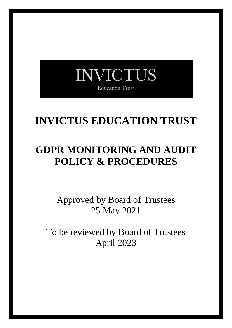

## **INVICTUS EDUCATION TRUST**

### **GDPR MONITORING AND AUDIT POLICY & PROCEDURES**

Approved by Board of Trustees 25 May 2021

To be reviewed by Board of Trustees April 2023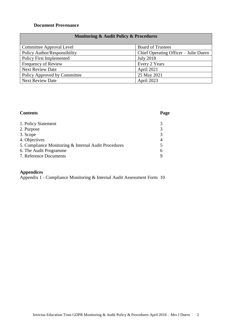#### **Document Provenance**

### **Monitoring & Audit Policy & Procedures**

| Committee Approval Level        | <b>Board of Trustees</b>              |
|---------------------------------|---------------------------------------|
| Policy Author/Responsibility    | Chief Operating Officer – Julie Duern |
| <b>Policy First Implemented</b> | <b>July 2018</b>                      |
| Frequency of Review             | Every 2 Years                         |
| <b>Next Review Date</b>         | April 2021                            |
| Policy Approved by Committee    | 25 May 2021                           |
| <b>Next Review Date</b>         | April 2023                            |

#### **Contents Page**

| 1. Policy Statement                                  |  |
|------------------------------------------------------|--|
| 2. Purpose                                           |  |
| 3. Scope                                             |  |
| 4. Objectives                                        |  |
| 5. Compliance Monitoring & Internal Audit Procedures |  |
| 6. The Audit Programme                               |  |
| 7. Reference Documents                               |  |

#### **Appendices**

Appendix 1 - Compliance Monitoring & Internal Audit Assessment Form 10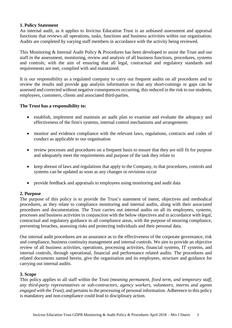#### **1. Policy Statement**

An internal audit, as it applies to Invictus Education Trust is an unbiased assessment and appraisal functions that reviews all operations, tasks, functions and business activities within our organisation. Audits are completed by varying staff members in accordance with the activity being reviewed.

This Monitoring & Internal Audit Policy & Procedures has been developed to assist the Trust and our staff in the assessment, monitoring, review and analysis of all business functions, procedures, systems and controls; with the aim of ensuring that all legal, contractual and regulatory standards and requirements are met, complied with and maintained.

It is our responsibility as a regulated company to carry out frequent audits on all procedures and to review the results and provide gap analysis information so that any short-comings or gaps can be assessed and corrected without negative consequences occurring, this reduced in the risk to our students, employees, customers, clients and associated third-parties.

#### **The Trust has a responsibility to:**

- establish, implement and maintain an audit plan to examine and evaluate the adequacy and effectiveness of the firm's systems, internal control mechanisms and arrangements
- monitor and evidence compliance with the relevant laws, regulations, contracts and codes of conduct as applicable to our organisation
- review processes and procedures on a frequent basis to ensure that they are still fit for purpose and adequately meet the requirements and purpose of the task they relate to
- keep abreast of laws and regulations that apply to the Company, to that procedures, controls and systems can be updated as soon as any changes or revisions occur
- provide feedback and appraisals to employees using monitoring and audit data

#### **2. Purpose**

The purpose of this policy is to provide the Trust's statement of intent, objectives and methodical procedures, as they relate to compliance monitoring and internal audits, along with their associated procedures and documentation. The Trust carries out internal audits on all its employees, systems, processes and business activities in conjunction with the below objectives and in accordance with legal, contractual and regulatory guidance in all compliance areas, with the purpose of ensuring compliance, preventing breaches, assessing risks and protecting individuals and their personal data.

Our internal audit procedures are an assurance as to the effectiveness of the corporate governance, risk and compliance, business continuity management and internal controls. We aim to provide an objective review of all business activities, operations, processing activities, financial systems, IT systems, and internal controls, through operational, financial and performance related audits. The procedures and related documents named herein, give the organisation and its employees, structure and guidance for carrying out internal audits.

#### **3. Scope**

This policy applies to all staff within the Trust *(meaning permanent, fixed term, and temporary staff, any third-party representatives or sub-contractors, agency workers, volunteers, interns and agents engaged with the Trust),* and pertains to the processing of personal information. Adherence to this policy is mandatory and non-compliance could lead to disciplinary action.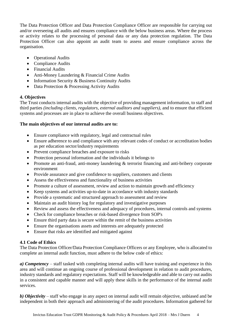The Data Protection Officer and Data Protection Compliance Officer are responsible for carrying out and/or overseeing all audits and ensures compliance with the below business areas. Where the process or activity relates to the processing of personal data or any data protection regulation. The Data Protection Officer can also appoint an audit team to assess and ensure compliance across the organisation.

- Operational Audits
- Compliance Audits
- Financial Audits
- Anti-Money Laundering & Financial Crime Audits
- Information Security & Business Continuity Audits
- Data Protection & Processing Activity Audits

#### **4. Objectives**

The Trust conducts internal audits with the objective of providing management information, to staff and third parties *(including clients, regulators, external auditors and suppliers),* and to ensure that efficient systems and processes are in place to achieve the overall business objectives.

#### **The main objectives of our internal audits are to:**

- Ensure compliance with regulatory, legal and contractual rules
- Ensure adherence to and compliance with any relevant codes of conduct or accreditation bodies as per education sector/industry requirements
- Prevent compliance breaches and exposure to risks
- Protection personal information and the individuals it belongs to
- Promote an anti-fraud, anti-money laundering & terrorist financing and anti-bribery corporate environment
- Provide assurance and give confidence to suppliers, customers and clients
- Assess the effectiveness and functionality of business activities
- Promote a culture of assessment, review and action to maintain growth and efficiency
- Keep systems and activities up-to-date in accordance with industry standards
- Provide a systematic and structured approach to assessment and review
- Maintain an audit history log for regulatory and investigative purposes
- Review and assess the effectiveness and adequacy of procedures, internal controls and systems
- Check for compliance breaches or risk-based divergence from SOP's
- Ensure third party data is secure within the remit of the business activities
- Ensure the organisations assets and interests are adequately protected
- Ensure that risks are identified and mitigated against

#### **4.1 Code of Ethics**

The Data Protection Officer/Data Protection Compliance Officers or any Employee, who is allocated to complete an internal audit function, must adhere to the below code of ethics:

*a) Competency* – staff tasked with completing internal audits will have training and experience in this area and will continue an ongoing course of professional development in relation to audit procedures, industry standards and regulatory expectations. Staff will be knowledgeable and able to carry out audits in a consistent and capable manner and will apply these skills in the performance of the internal audit services.

*b) Objectivity* – staff who engage in any aspect on internal audit will remain objective, unbiased and be independent in both their approach and administering of the audit procedures. Information gathered for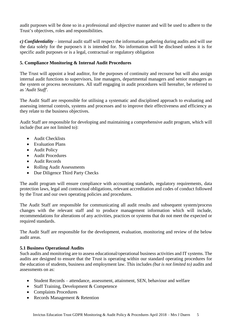audit purposes will be done so in a professional and objective manner and will be used to adhere to the Trust's objectives, roles and responsibilities.

*c) Confidentiality* – internal audit staff will respect the information gathering during audits and will use the data solely for the purpose/s it is intended for. No information will be disclosed unless it is for specific audit purposes or is a legal, contractual or regulatory obligation

#### **5. Compliance Monitoring & Internal Audit Procedures**

The Trust will appoint a lead auditor, for the purposes of continuity and recourse but will also assign internal audit functions to supervisors, line managers, departmental managers and senior managers as the system or process necessitates. All staff engaging in audit procedures will hereafter, be referred to as *'Audit Staff'.*

The Audit Staff are responsible for utilising a systematic and disciplined approach to evaluating and assessing internal controls, systems and processes and to improve their effectiveness and efficiency as they relate to the business objectives.

Audit Staff are responsible for developing and maintaining a comprehensive audit program, which will include (but are not limited to):

- Audit Checklists
- Evaluation Plans
- Audit Policy
- Audit Procedures
- Audit Records
- Rolling Audit Assessments
- Due Diligence Third Party Checks

The audit program will ensure compliance with accounting standards, regulatory requirements, data protection laws, legal and contractual obligations, relevant accreditation and codes of conduct followed by the Trust and our own operating policies and procedures.

The Audit Staff are responsible for communicating all audit results and subsequent system/process changes with the relevant staff and to produce management information which will include, recommendations for alterations of any activities, practices or systems that do not meet the expected or required standards.

The Audit Staff are responsible for the development, evaluation, monitoring and review of the below audit areas.

#### **5.1 Business Operational Audits**

Such audits and monitoring are to assess educational/operational business activities and IT systems. The audits are designed to ensure that the Trust is operating within our standard operating procedures for the education of students, business and employment law. This includes *(but is not limited to)* audits and assessments on as:

- Student Records attendance, assessment, attainment, SEN, behaviour and welfare
- Staff Training, Development & Competence
- Complaints Procedures
- Records Management & Retention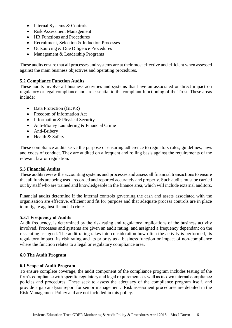- Internal Systems & Controls
- Risk Assessment Management
- HR Functions and Procedures
- Recruitment, Selection & Induction Processes
- Outsourcing & Due Diligence Procedures
- Management & Leadership Programs

These audits ensure that all processes and systems are at their most effective and efficient when assessed against the main business objectives and operating procedures.

#### **5.2 Compliance Function Audits**

These audits involve all business activities and systems that have an associated or direct impact on regulatory or legal compliance and are essential to the compliant functioning of the Trust. These areas include:

- Data Protection (GDPR)
- Freedom of Information Act
- Information & Physical Security
- Anti-Money Laundering & Financial Crime
- Anti-Bribery
- Health & Safety

These compliance audits serve the purpose of ensuring adherence to regulators rules, guidelines, laws and codes of conduct. They are audited on a frequent and rolling basis against the requirements of the relevant law or regulation.

#### **5.3 Financial Audits**

These audits review the accounting systems and processes and assess all financial transactions to ensure that all funds are being used, recorded and reported accurately and properly. Such audits must be carried out by staff who are trained and knowledgeable in the finance area, which will include external auditors.

Financial audits determine if the internal controls governing the cash and assets associated with the organisation are effective, efficient and fit for purpose and that adequate process controls are in place to mitigate against financial crime.

#### **5.3.1 Frequency of Audits**

Audit frequency, is determined by the risk rating and regulatory implications of the business activity involved. Processes and systems are given an audit rating, and assigned a frequency dependant on the risk rating assigned. The audit rating takes into consideration how often the activity is performed, its regulatory impact, its risk rating and its priority as a business function or impact of non-compliance where the function relates to a legal or regulatory compliance area.

#### **6.0 The Audit Program**

#### **6.1 Scope of Audit Program**

To ensure complete coverage, the audit component of the compliance program includes testing of the firm's compliance with specific regulatory and legal requirements as well as its own internal compliance policies and procedures. These seek to assess the adequacy of the compliance program itself, and provide a gap analysis report for senior management. Risk assessment procedures are detailed in the Risk Management Policy and are not included in this policy.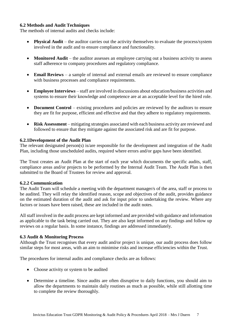#### **6.2 Methods and Audit Techniques**

The methods of internal audits and checks include:

- **Physical Audit** the auditor carries out the activity themselves to evaluate the process/system involved in the audit and to ensure compliance and functionality.
- **Monitored Audit** the auditor assesses an employee carrying out a business activity to assess staff adherence to company procedures and regulatory compliance.
- **Email Reviews** a sample of internal and external emails are reviewed to ensure compliance with business processes and compliance requirements.
- **Employee Interview***s* staff are involved in discussions about education/business activities and systems to ensure their knowledge and competence are at an acceptable level for the hired role.
- **Document Control** existing procedures and policies are reviewed by the auditors to ensure they are fit for purpose, efficient and effective and that they adhere to regulatory requirements.
- **Risk Assessment** mitigating strategies associated with each business activity are reviewed and followed to ensure that they mitigate against the associated risk and are fit for purpose.

#### **6.2.1Development of the Audit Plan**

The relevant designated person(s) is/are responsible for the development and integration of the Audit Plan, including those unscheduled audits, required where errors and/or gaps have been identified.

The Trust creates an Audit Plan at the start of each year which documents the specific audits, staff, compliance areas and/or projects to be performed by the Internal Audit Team. The Audit Plan is then submitted to the Board of Trustees for review and approval.

#### **6.2.2 Communication**

The Audit Team will schedule a meeting with the department manager/s of the area, staff or process to be audited. They will relay the identified reason, scope and objectives of the audit, provides guidance on the estimated duration of the audit and ask for input prior to undertaking the review. Where any factors or issues have been raised, these are included in the audit notes.

All staff involved in the audit process are kept informed and are provided with guidance and information as applicable to the task being carried out. They are also kept informed on any findings and follow up reviews on a regular basis. In some instance, findings are addressed immediately.

#### **6.3 Audit & Monitoring Process**

Although the Trust recognises that every audit and/or project is unique, our audit process does follow similar steps for most areas, with an aim to minimise risks and increase efficiencies within the Trust.

The procedures for internal audits and compliance checks are as follows:

- Choose activity or system to be audited
- Determine a timeline. Since audits are often disruptive to daily functions, you should aim to allow the departments to maintain daily routines as much as possible, while still allotting time to complete the review thoroughly.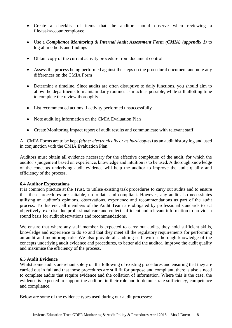- Create a checklist of items that the auditor should observe when reviewing a file/task/account/employee.
- Use a *Compliance Monitoring & Internal Audit Assessment Form (CMIA) (appendix 1)* to log all methods and findings
- Obtain copy of the current activity procedure from document control
- Assess the process being performed against the steps on the procedural document and note any differences on the CMIA Form
- Determine a timeline. Since audits are often disruptive to daily functions, you should aim to allow the departments to maintain daily routines as much as possible, while still allotting time to complete the review thoroughly.
- List recommended actions if activity performed unsuccessfully
- Note audit log information on the CMIA Evaluation Plan
- Create Monitoring Impact report of audit results and communicate with relevant staff

All CMIA Forms are to be kept *(either electronically or as hard copies)* as an audit history log and used in conjunction with the CMIA Evaluation Plan.

Auditors must obtain all evidence necessary for the effective completion of the audit, for which the auditor's judgement based on experience, knowledge and intuition is to be used. A thorough knowledge of the concepts underlying audit evidence will help the auditor to improve the audit quality and efficiency of the process.

#### **6.4 Auditor Expectations**

It is common practice at the Trust, to utilise existing task procedures to carry out audits and to ensure that these procedures are suitable, up-to-date and compliant. However, any audit also necessitates utilising an auditor's opinions, observations, experience and recommendations as part of the audit process. To this end, all members of the Audit Team are obligated by professional standards to act objectively, exercise due professional care and collect sufficient and relevant information to provide a sound basis for audit observations and recommendations.

We ensure that where any staff member is expected to carry out audits, they hold sufficient skills, knowledge and experience to do so and that they meet all the regulatory requirements for performing an audit and monitoring role. We also provide all auditing staff with a thorough knowledge of the concepts underlying audit evidence and procedures, to better aid the auditor, improve the audit quality and maximise the efficiency of the process.

#### **6.5 Audit Evidence**

Whilst some audits are reliant solely on the following of existing procedures and ensuring that they are carried out in full and that those procedures are still fit for purpose and compliant, there is also a need to complete audits that require evidence and the collation of information. Where this is the case, the evidence is expected to support the auditors in their role and to demonstrate sufficiency, competence and compliance.

Below are some of the evidence types used during our audit processes: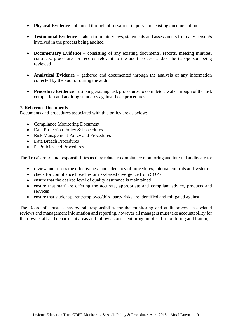- **Physical Evidence** obtained through observation, inquiry and existing documentation
- **Testimonial Evidence** taken from interviews, statements and assessments from any person/s involved in the process being audited
- **Documentary Evidence** consisting of any existing documents, reports, meeting minutes, contracts, procedures or records relevant to the audit process and/or the task/person being reviewed
- **Analytical Evidence** gathered and documented through the analysis of any information collected by the auditor during the audit
- **Procedure Evidence** utilising existing task procedures to complete a walk-through of the task completion and auditing standards against those procedures

#### **7. Reference Documents**

Documents and procedures associated with this policy are as below:

- Compliance Monitoring Document
- Data Protection Policy & Procedures
- Risk Management Policy and Procedures
- Data Breach Procedures
- IT Policies and Procedures

The Trust's roles and responsibilities as they relate to compliance monitoring and internal audits are to:

- review and assess the effectiveness and adequacy of procedures, internal controls and systems
- check for compliance breaches or risk-based divergence from SOP's
- ensure that the desired level of quality assurance is maintained
- ensure that staff are offering the accurate, appropriate and compliant advice, products and services
- ensure that student/parent/employee/third party risks are identified and mitigated against

The Board of Trustees has overall responsibility for the monitoring and audit process, associated reviews and management information and reporting, however all managers must take accountability for their own staff and department areas and follow a consistent program of staff monitoring and training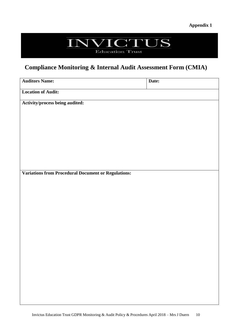# NVICTUS

Education Trust

### **Compliance Monitoring & Internal Audit Assessment Form (CMIA)**

| <b>Auditors Name:</b>                                      | Date: |
|------------------------------------------------------------|-------|
| <b>Location of Audit:</b>                                  |       |
| Activity/process being audited:                            |       |
|                                                            |       |
|                                                            |       |
|                                                            |       |
|                                                            |       |
|                                                            |       |
| <b>Variations from Procedural Document or Regulations:</b> |       |
|                                                            |       |
|                                                            |       |
|                                                            |       |
|                                                            |       |
|                                                            |       |
|                                                            |       |
|                                                            |       |
|                                                            |       |
|                                                            |       |
|                                                            |       |
|                                                            |       |
|                                                            |       |